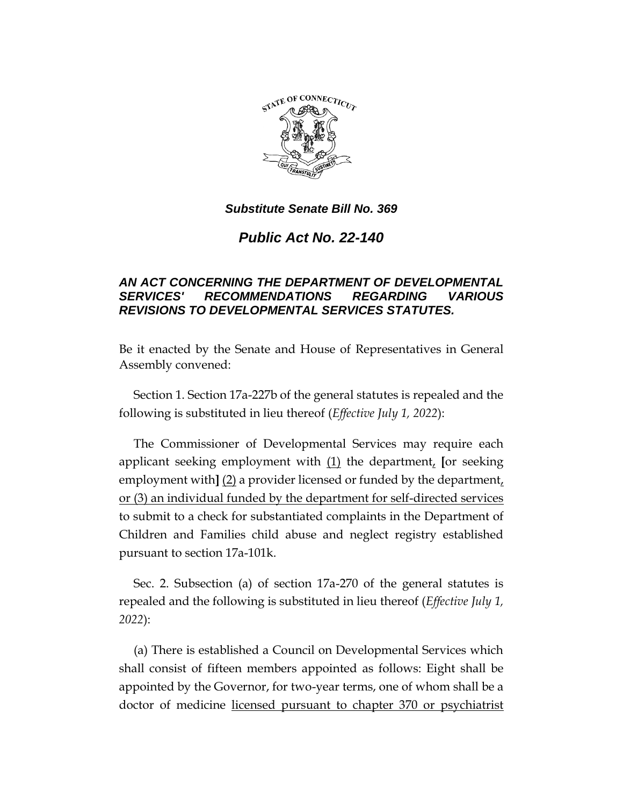

*Public Act No. 22-140*

# *AN ACT CONCERNING THE DEPARTMENT OF DEVELOPMENTAL SERVICES' RECOMMENDATIONS REGARDING VARIOUS REVISIONS TO DEVELOPMENTAL SERVICES STATUTES.*

Be it enacted by the Senate and House of Representatives in General Assembly convened:

Section 1. Section 17a-227b of the general statutes is repealed and the following is substituted in lieu thereof (*Effective July 1, 2022*):

The Commissioner of Developmental Services may require each applicant seeking employment with (1) the department, **[**or seeking employment with]  $(2)$  a provider licensed or funded by the department, or (3) an individual funded by the department for self-directed services to submit to a check for substantiated complaints in the Department of Children and Families child abuse and neglect registry established pursuant to section 17a-101k.

Sec. 2. Subsection (a) of section 17a-270 of the general statutes is repealed and the following is substituted in lieu thereof (*Effective July 1, 2022*):

(a) There is established a Council on Developmental Services which shall consist of fifteen members appointed as follows: Eight shall be appointed by the Governor, for two-year terms, one of whom shall be a doctor of medicine licensed pursuant to chapter 370 or psychiatrist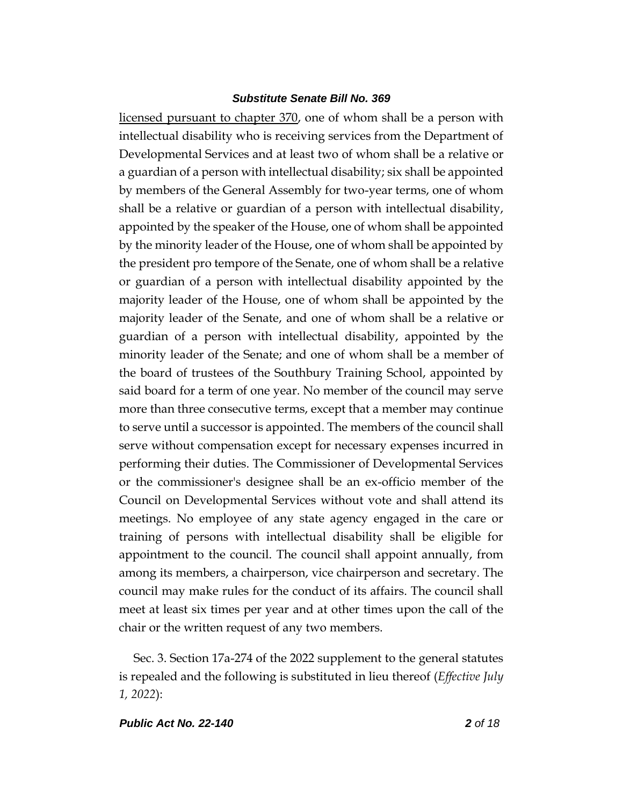licensed pursuant to chapter 370, one of whom shall be a person with intellectual disability who is receiving services from the Department of Developmental Services and at least two of whom shall be a relative or a guardian of a person with intellectual disability; six shall be appointed by members of the General Assembly for two-year terms, one of whom shall be a relative or guardian of a person with intellectual disability, appointed by the speaker of the House, one of whom shall be appointed by the minority leader of the House, one of whom shall be appointed by the president pro tempore of the Senate, one of whom shall be a relative or guardian of a person with intellectual disability appointed by the majority leader of the House, one of whom shall be appointed by the majority leader of the Senate, and one of whom shall be a relative or guardian of a person with intellectual disability, appointed by the minority leader of the Senate; and one of whom shall be a member of the board of trustees of the Southbury Training School, appointed by said board for a term of one year. No member of the council may serve more than three consecutive terms, except that a member may continue to serve until a successor is appointed. The members of the council shall serve without compensation except for necessary expenses incurred in performing their duties. The Commissioner of Developmental Services or the commissioner's designee shall be an ex-officio member of the Council on Developmental Services without vote and shall attend its meetings. No employee of any state agency engaged in the care or training of persons with intellectual disability shall be eligible for appointment to the council. The council shall appoint annually, from among its members, a chairperson, vice chairperson and secretary. The council may make rules for the conduct of its affairs. The council shall meet at least six times per year and at other times upon the call of the chair or the written request of any two members.

Sec. 3. Section 17a-274 of the 2022 supplement to the general statutes is repealed and the following is substituted in lieu thereof (*Effective July 1, 2022*):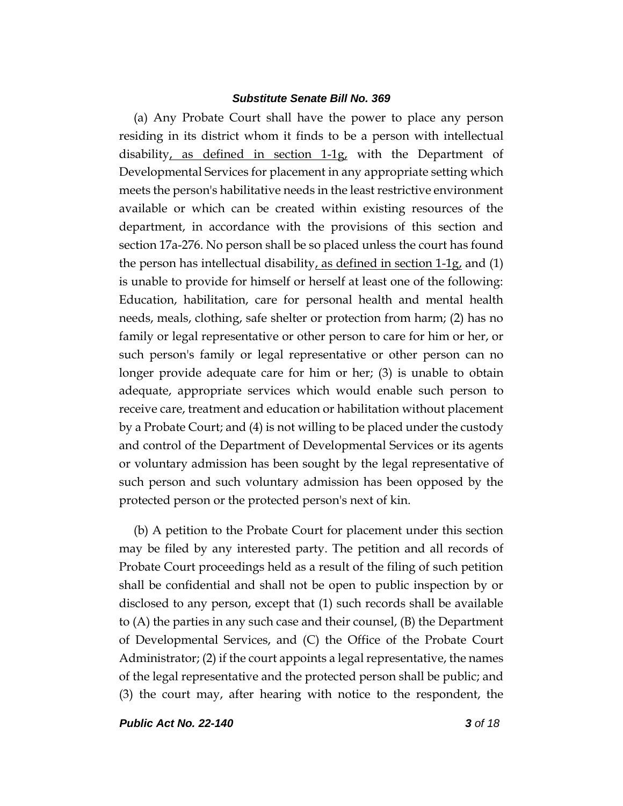(a) Any Probate Court shall have the power to place any person residing in its district whom it finds to be a person with intellectual disability, as defined in section 1-1g, with the Department of Developmental Services for placement in any appropriate setting which meets the person's habilitative needs in the least restrictive environment available or which can be created within existing resources of the department, in accordance with the provisions of this section and section 17a-276. No person shall be so placed unless the court has found the person has intellectual disability, as defined in section  $1-1g$ , and (1) is unable to provide for himself or herself at least one of the following: Education, habilitation, care for personal health and mental health needs, meals, clothing, safe shelter or protection from harm; (2) has no family or legal representative or other person to care for him or her, or such person's family or legal representative or other person can no longer provide adequate care for him or her; (3) is unable to obtain adequate, appropriate services which would enable such person to receive care, treatment and education or habilitation without placement by a Probate Court; and (4) is not willing to be placed under the custody and control of the Department of Developmental Services or its agents or voluntary admission has been sought by the legal representative of such person and such voluntary admission has been opposed by the protected person or the protected person's next of kin.

(b) A petition to the Probate Court for placement under this section may be filed by any interested party. The petition and all records of Probate Court proceedings held as a result of the filing of such petition shall be confidential and shall not be open to public inspection by or disclosed to any person, except that (1) such records shall be available to (A) the parties in any such case and their counsel, (B) the Department of Developmental Services, and (C) the Office of the Probate Court Administrator; (2) if the court appoints a legal representative, the names of the legal representative and the protected person shall be public; and (3) the court may, after hearing with notice to the respondent, the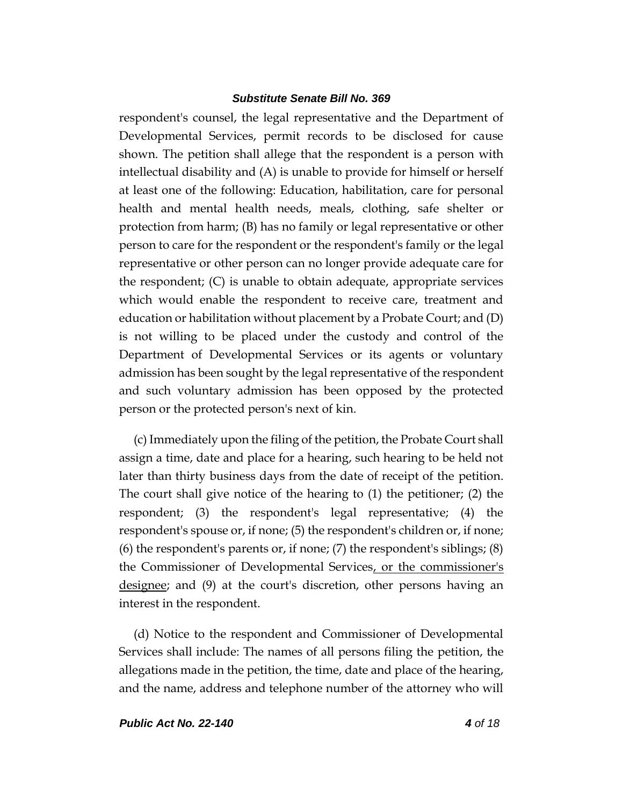respondent's counsel, the legal representative and the Department of Developmental Services, permit records to be disclosed for cause shown. The petition shall allege that the respondent is a person with intellectual disability and (A) is unable to provide for himself or herself at least one of the following: Education, habilitation, care for personal health and mental health needs, meals, clothing, safe shelter or protection from harm; (B) has no family or legal representative or other person to care for the respondent or the respondent's family or the legal representative or other person can no longer provide adequate care for the respondent; (C) is unable to obtain adequate, appropriate services which would enable the respondent to receive care, treatment and education or habilitation without placement by a Probate Court; and (D) is not willing to be placed under the custody and control of the Department of Developmental Services or its agents or voluntary admission has been sought by the legal representative of the respondent and such voluntary admission has been opposed by the protected person or the protected person's next of kin.

(c) Immediately upon the filing of the petition, the Probate Court shall assign a time, date and place for a hearing, such hearing to be held not later than thirty business days from the date of receipt of the petition. The court shall give notice of the hearing to (1) the petitioner; (2) the respondent; (3) the respondent's legal representative; (4) the respondent's spouse or, if none; (5) the respondent's children or, if none; (6) the respondent's parents or, if none; (7) the respondent's siblings; (8) the Commissioner of Developmental Services, or the commissioner's <u>designee</u>; and (9) at the court's discretion, other persons having an interest in the respondent.

(d) Notice to the respondent and Commissioner of Developmental Services shall include: The names of all persons filing the petition, the allegations made in the petition, the time, date and place of the hearing, and the name, address and telephone number of the attorney who will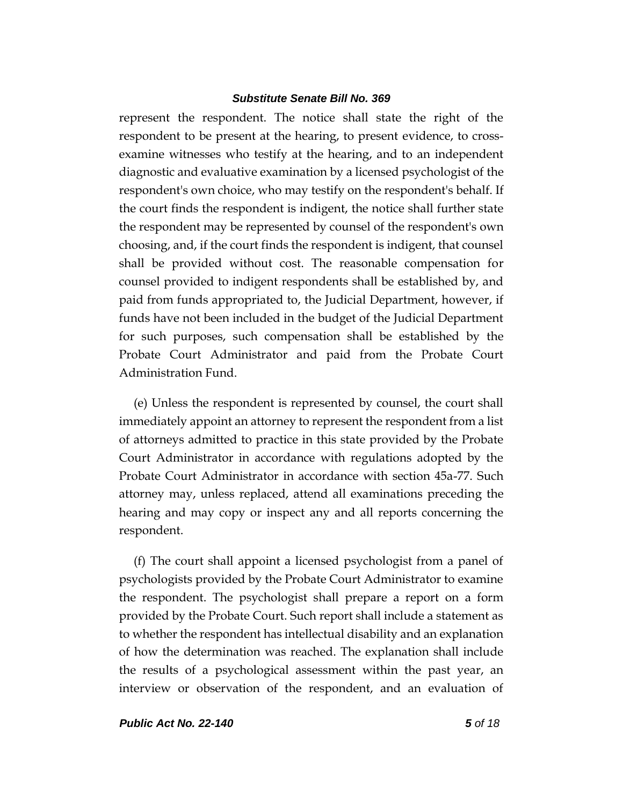represent the respondent. The notice shall state the right of the respondent to be present at the hearing, to present evidence, to crossexamine witnesses who testify at the hearing, and to an independent diagnostic and evaluative examination by a licensed psychologist of the respondent's own choice, who may testify on the respondent's behalf. If the court finds the respondent is indigent, the notice shall further state the respondent may be represented by counsel of the respondent's own choosing, and, if the court finds the respondent is indigent, that counsel shall be provided without cost. The reasonable compensation for counsel provided to indigent respondents shall be established by, and paid from funds appropriated to, the Judicial Department, however, if funds have not been included in the budget of the Judicial Department for such purposes, such compensation shall be established by the Probate Court Administrator and paid from the Probate Court Administration Fund.

(e) Unless the respondent is represented by counsel, the court shall immediately appoint an attorney to represent the respondent from a list of attorneys admitted to practice in this state provided by the Probate Court Administrator in accordance with regulations adopted by the Probate Court Administrator in accordance with section 45a-77. Such attorney may, unless replaced, attend all examinations preceding the hearing and may copy or inspect any and all reports concerning the respondent.

(f) The court shall appoint a licensed psychologist from a panel of psychologists provided by the Probate Court Administrator to examine the respondent. The psychologist shall prepare a report on a form provided by the Probate Court. Such report shall include a statement as to whether the respondent has intellectual disability and an explanation of how the determination was reached. The explanation shall include the results of a psychological assessment within the past year, an interview or observation of the respondent, and an evaluation of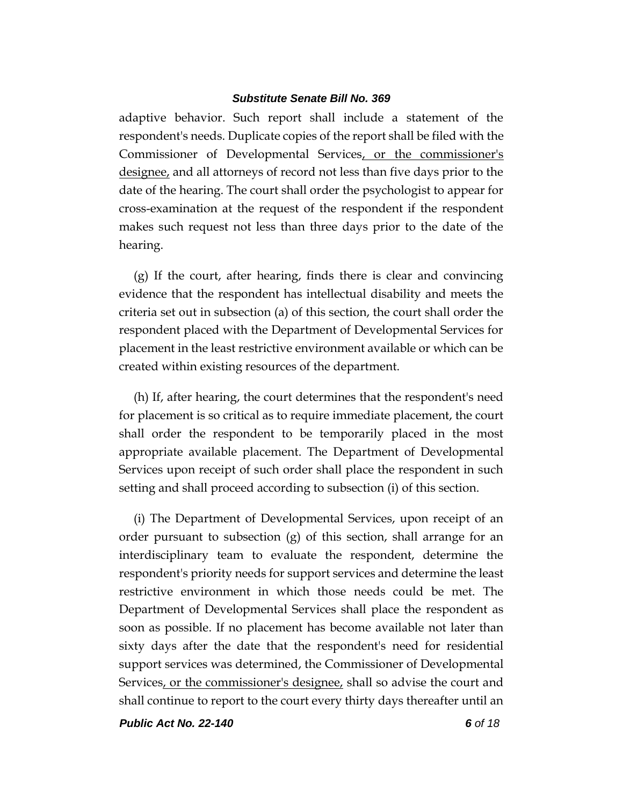adaptive behavior. Such report shall include a statement of the respondent's needs. Duplicate copies of the report shall be filed with the Commissioner of Developmental Services, or the commissioner's designee, and all attorneys of record not less than five days prior to the date of the hearing. The court shall order the psychologist to appear for cross-examination at the request of the respondent if the respondent makes such request not less than three days prior to the date of the hearing.

(g) If the court, after hearing, finds there is clear and convincing evidence that the respondent has intellectual disability and meets the criteria set out in subsection (a) of this section, the court shall order the respondent placed with the Department of Developmental Services for placement in the least restrictive environment available or which can be created within existing resources of the department.

(h) If, after hearing, the court determines that the respondent's need for placement is so critical as to require immediate placement, the court shall order the respondent to be temporarily placed in the most appropriate available placement. The Department of Developmental Services upon receipt of such order shall place the respondent in such setting and shall proceed according to subsection (i) of this section.

(i) The Department of Developmental Services, upon receipt of an order pursuant to subsection  $(g)$  of this section, shall arrange for an interdisciplinary team to evaluate the respondent, determine the respondent's priority needs for support services and determine the least restrictive environment in which those needs could be met. The Department of Developmental Services shall place the respondent as soon as possible. If no placement has become available not later than sixty days after the date that the respondent's need for residential support services was determined, the Commissioner of Developmental Services, or the commissioner's designee, shall so advise the court and shall continue to report to the court every thirty days thereafter until an

*Public Act No. 22-140 6 of 18*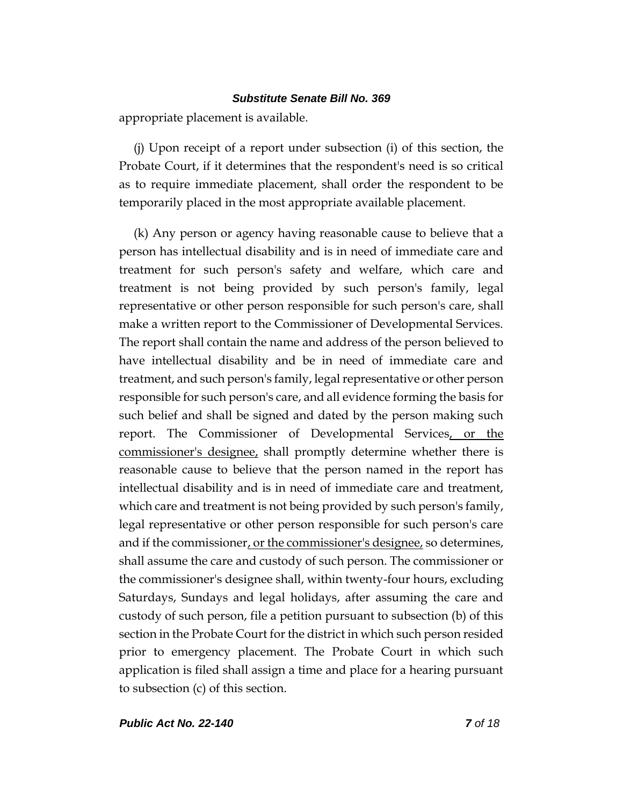appropriate placement is available.

(j) Upon receipt of a report under subsection (i) of this section, the Probate Court, if it determines that the respondent's need is so critical as to require immediate placement, shall order the respondent to be temporarily placed in the most appropriate available placement.

(k) Any person or agency having reasonable cause to believe that a person has intellectual disability and is in need of immediate care and treatment for such person's safety and welfare, which care and treatment is not being provided by such person's family, legal representative or other person responsible for such person's care, shall make a written report to the Commissioner of Developmental Services. The report shall contain the name and address of the person believed to have intellectual disability and be in need of immediate care and treatment, and such person's family, legal representative or other person responsible for such person's care, and all evidence forming the basis for such belief and shall be signed and dated by the person making such report. The Commissioner of Developmental Services, or the commissioner's designee, shall promptly determine whether there is reasonable cause to believe that the person named in the report has intellectual disability and is in need of immediate care and treatment, which care and treatment is not being provided by such person's family, legal representative or other person responsible for such person's care and if the commissioner, or the commissioner's designee, so determines, shall assume the care and custody of such person. The commissioner or the commissioner's designee shall, within twenty-four hours, excluding Saturdays, Sundays and legal holidays, after assuming the care and custody of such person, file a petition pursuant to subsection (b) of this section in the Probate Court for the district in which such person resided prior to emergency placement. The Probate Court in which such application is filed shall assign a time and place for a hearing pursuant to subsection (c) of this section.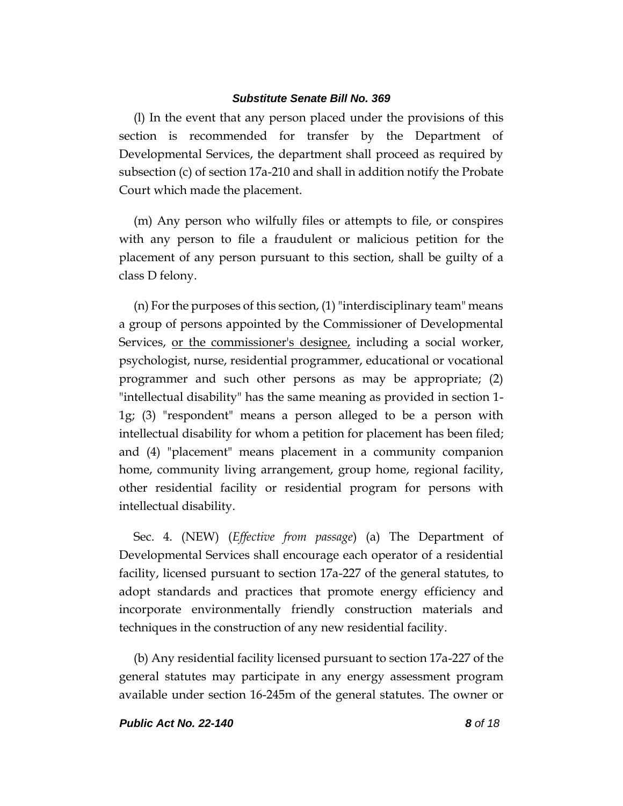(l) In the event that any person placed under the provisions of this section is recommended for transfer by the Department of Developmental Services, the department shall proceed as required by subsection (c) of section 17a-210 and shall in addition notify the Probate Court which made the placement.

(m) Any person who wilfully files or attempts to file, or conspires with any person to file a fraudulent or malicious petition for the placement of any person pursuant to this section, shall be guilty of a class D felony.

(n) For the purposes of this section, (1) "interdisciplinary team" means a group of persons appointed by the Commissioner of Developmental Services, or the commissioner's designee, including a social worker, psychologist, nurse, residential programmer, educational or vocational programmer and such other persons as may be appropriate; (2) "intellectual disability" has the same meaning as provided in section 1- 1g; (3) "respondent" means a person alleged to be a person with intellectual disability for whom a petition for placement has been filed; and (4) "placement" means placement in a community companion home, community living arrangement, group home, regional facility, other residential facility or residential program for persons with intellectual disability.

Sec. 4. (NEW) (*Effective from passage*) (a) The Department of Developmental Services shall encourage each operator of a residential facility, licensed pursuant to section 17a-227 of the general statutes, to adopt standards and practices that promote energy efficiency and incorporate environmentally friendly construction materials and techniques in the construction of any new residential facility.

(b) Any residential facility licensed pursuant to section 17a-227 of the general statutes may participate in any energy assessment program available under section 16-245m of the general statutes. The owner or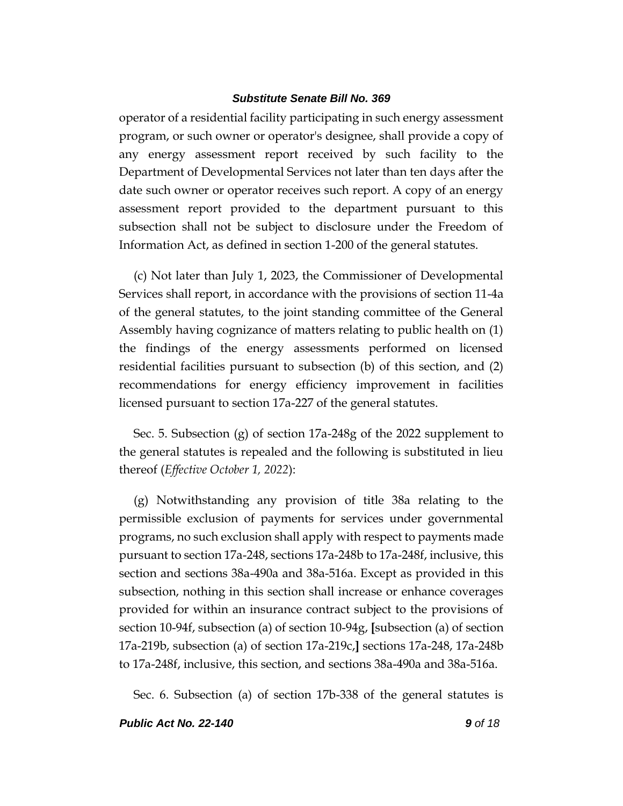operator of a residential facility participating in such energy assessment program, or such owner or operator's designee, shall provide a copy of any energy assessment report received by such facility to the Department of Developmental Services not later than ten days after the date such owner or operator receives such report. A copy of an energy assessment report provided to the department pursuant to this subsection shall not be subject to disclosure under the Freedom of Information Act, as defined in section 1-200 of the general statutes.

(c) Not later than July 1, 2023, the Commissioner of Developmental Services shall report, in accordance with the provisions of section 11-4a of the general statutes, to the joint standing committee of the General Assembly having cognizance of matters relating to public health on (1) the findings of the energy assessments performed on licensed residential facilities pursuant to subsection (b) of this section, and (2) recommendations for energy efficiency improvement in facilities licensed pursuant to section 17a-227 of the general statutes.

Sec. 5. Subsection (g) of section 17a-248g of the 2022 supplement to the general statutes is repealed and the following is substituted in lieu thereof (*Effective October 1, 2022*):

(g) Notwithstanding any provision of title 38a relating to the permissible exclusion of payments for services under governmental programs, no such exclusion shall apply with respect to payments made pursuant to section 17a-248, sections 17a-248b to 17a-248f, inclusive, this section and sections 38a-490a and 38a-516a. Except as provided in this subsection, nothing in this section shall increase or enhance coverages provided for within an insurance contract subject to the provisions of section 10-94f, subsection (a) of section 10-94g, **[**subsection (a) of section 17a-219b, subsection (a) of section 17a-219c,**]** sections 17a-248, 17a-248b to 17a-248f, inclusive, this section, and sections 38a-490a and 38a-516a.

Sec. 6. Subsection (a) of section 17b-338 of the general statutes is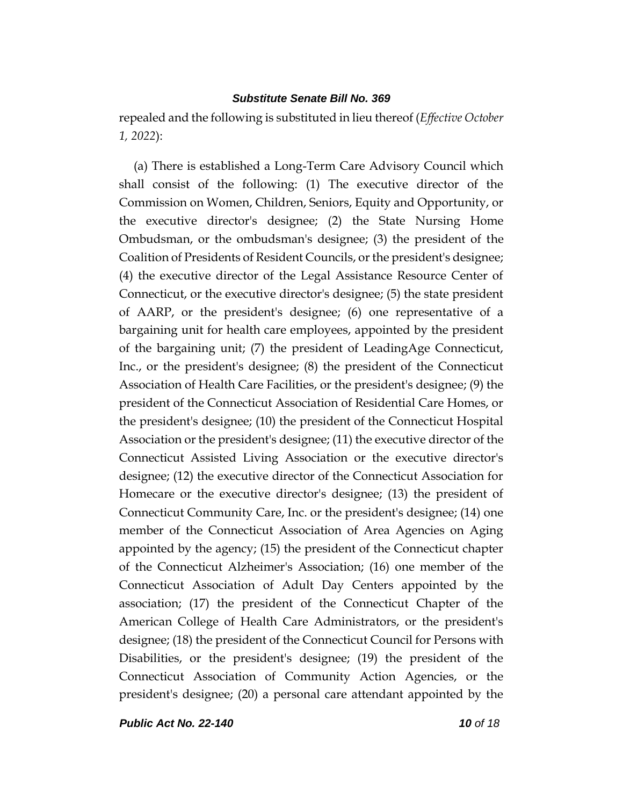repealed and the following is substituted in lieu thereof (*Effective October 1, 2022*):

(a) There is established a Long-Term Care Advisory Council which shall consist of the following: (1) The executive director of the Commission on Women, Children, Seniors, Equity and Opportunity, or the executive director's designee; (2) the State Nursing Home Ombudsman, or the ombudsman's designee; (3) the president of the Coalition of Presidents of Resident Councils, or the president's designee; (4) the executive director of the Legal Assistance Resource Center of Connecticut, or the executive director's designee; (5) the state president of AARP, or the president's designee; (6) one representative of a bargaining unit for health care employees, appointed by the president of the bargaining unit; (7) the president of LeadingAge Connecticut, Inc., or the president's designee; (8) the president of the Connecticut Association of Health Care Facilities, or the president's designee; (9) the president of the Connecticut Association of Residential Care Homes, or the president's designee; (10) the president of the Connecticut Hospital Association or the president's designee; (11) the executive director of the Connecticut Assisted Living Association or the executive director's designee; (12) the executive director of the Connecticut Association for Homecare or the executive director's designee; (13) the president of Connecticut Community Care, Inc. or the president's designee; (14) one member of the Connecticut Association of Area Agencies on Aging appointed by the agency; (15) the president of the Connecticut chapter of the Connecticut Alzheimer's Association; (16) one member of the Connecticut Association of Adult Day Centers appointed by the association; (17) the president of the Connecticut Chapter of the American College of Health Care Administrators, or the president's designee; (18) the president of the Connecticut Council for Persons with Disabilities, or the president's designee; (19) the president of the Connecticut Association of Community Action Agencies, or the president's designee; (20) a personal care attendant appointed by the

*Public Act No. 22-140 10 of 18*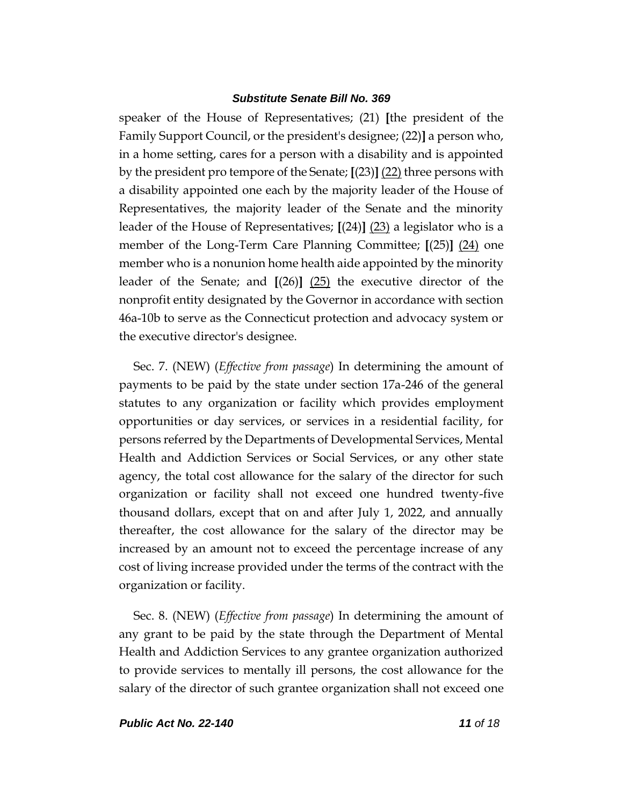speaker of the House of Representatives; (21) **[**the president of the Family Support Council, or the president's designee; (22)**]** a person who, in a home setting, cares for a person with a disability and is appointed by the president pro tempore of the Senate; **[**(23)**]** (22) three persons with a disability appointed one each by the majority leader of the House of Representatives, the majority leader of the Senate and the minority leader of the House of Representatives; **[**(24)**]** (23) a legislator who is a member of the Long-Term Care Planning Committee; **[**(25)**]** (24) one member who is a nonunion home health aide appointed by the minority leader of the Senate; and **[**(26)**]** (25) the executive director of the nonprofit entity designated by the Governor in accordance with section 46a-10b to serve as the Connecticut protection and advocacy system or the executive director's designee.

Sec. 7. (NEW) (*Effective from passage*) In determining the amount of payments to be paid by the state under section 17a-246 of the general statutes to any organization or facility which provides employment opportunities or day services, or services in a residential facility, for persons referred by the Departments of Developmental Services, Mental Health and Addiction Services or Social Services, or any other state agency, the total cost allowance for the salary of the director for such organization or facility shall not exceed one hundred twenty-five thousand dollars, except that on and after July 1, 2022, and annually thereafter, the cost allowance for the salary of the director may be increased by an amount not to exceed the percentage increase of any cost of living increase provided under the terms of the contract with the organization or facility.

Sec. 8. (NEW) (*Effective from passage*) In determining the amount of any grant to be paid by the state through the Department of Mental Health and Addiction Services to any grantee organization authorized to provide services to mentally ill persons, the cost allowance for the salary of the director of such grantee organization shall not exceed one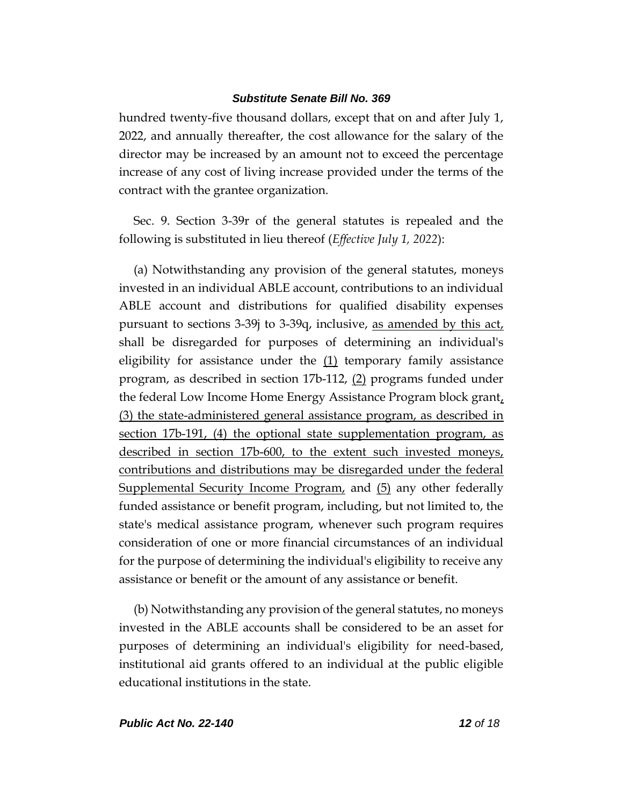hundred twenty-five thousand dollars, except that on and after July 1, 2022, and annually thereafter, the cost allowance for the salary of the director may be increased by an amount not to exceed the percentage increase of any cost of living increase provided under the terms of the contract with the grantee organization.

Sec. 9. Section 3-39r of the general statutes is repealed and the following is substituted in lieu thereof (*Effective July 1, 2022*):

(a) Notwithstanding any provision of the general statutes, moneys invested in an individual ABLE account, contributions to an individual ABLE account and distributions for qualified disability expenses pursuant to sections 3-39j to 3-39q, inclusive, as amended by this act, shall be disregarded for purposes of determining an individual's eligibility for assistance under the  $(1)$  temporary family assistance program, as described in section 17b-112, (2) programs funded under the federal Low Income Home Energy Assistance Program block grant, (3) the state-administered general assistance program, as described in section 17b-191, (4) the optional state supplementation program, as described in section 17b-600, to the extent such invested moneys, contributions and distributions may be disregarded under the federal Supplemental Security Income Program, and (5) any other federally funded assistance or benefit program, including, but not limited to, the state's medical assistance program, whenever such program requires consideration of one or more financial circumstances of an individual for the purpose of determining the individual's eligibility to receive any assistance or benefit or the amount of any assistance or benefit.

(b) Notwithstanding any provision of the general statutes, no moneys invested in the ABLE accounts shall be considered to be an asset for purposes of determining an individual's eligibility for need-based, institutional aid grants offered to an individual at the public eligible educational institutions in the state.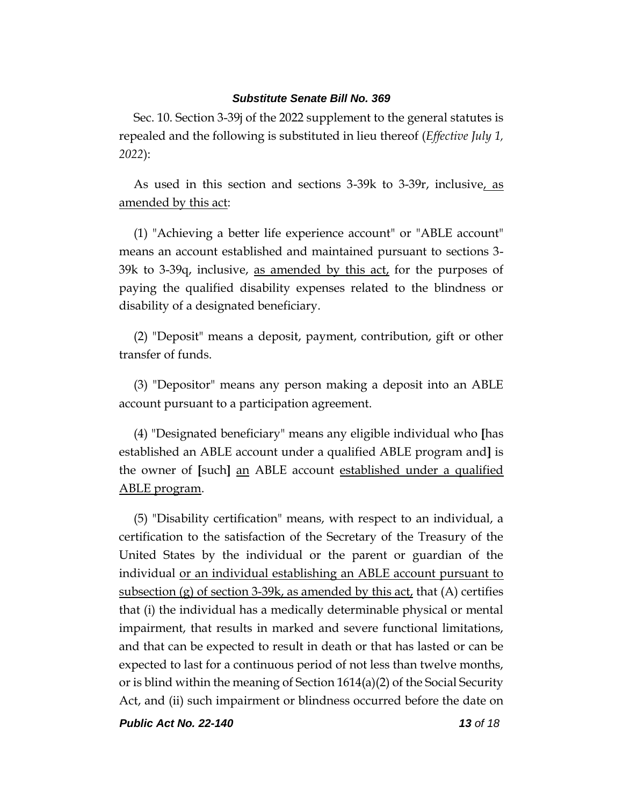Sec. 10. Section 3-39j of the 2022 supplement to the general statutes is repealed and the following is substituted in lieu thereof (*Effective July 1, 2022*):

As used in this section and sections 3-39k to 3-39r, inclusive, as amended by this act:

(1) "Achieving a better life experience account" or "ABLE account" means an account established and maintained pursuant to sections 3- 39k to 3-39q, inclusive, as amended by this  $act<sub>i</sub>$  for the purposes of paying the qualified disability expenses related to the blindness or disability of a designated beneficiary.

(2) "Deposit" means a deposit, payment, contribution, gift or other transfer of funds.

(3) "Depositor" means any person making a deposit into an ABLE account pursuant to a participation agreement.

(4) "Designated beneficiary" means any eligible individual who **[**has established an ABLE account under a qualified ABLE program and**]** is the owner of **[**such**]** an ABLE account established under a qualified ABLE program.

(5) "Disability certification" means, with respect to an individual, a certification to the satisfaction of the Secretary of the Treasury of the United States by the individual or the parent or guardian of the individual or an individual establishing an ABLE account pursuant to subsection (g) of section 3-39k, as amended by this  $act<sub>t</sub>$  that (A) certifies that (i) the individual has a medically determinable physical or mental impairment, that results in marked and severe functional limitations, and that can be expected to result in death or that has lasted or can be expected to last for a continuous period of not less than twelve months, or is blind within the meaning of Section  $1614(a)(2)$  of the Social Security Act, and (ii) such impairment or blindness occurred before the date on

*Public Act No. 22-140 13 of 18*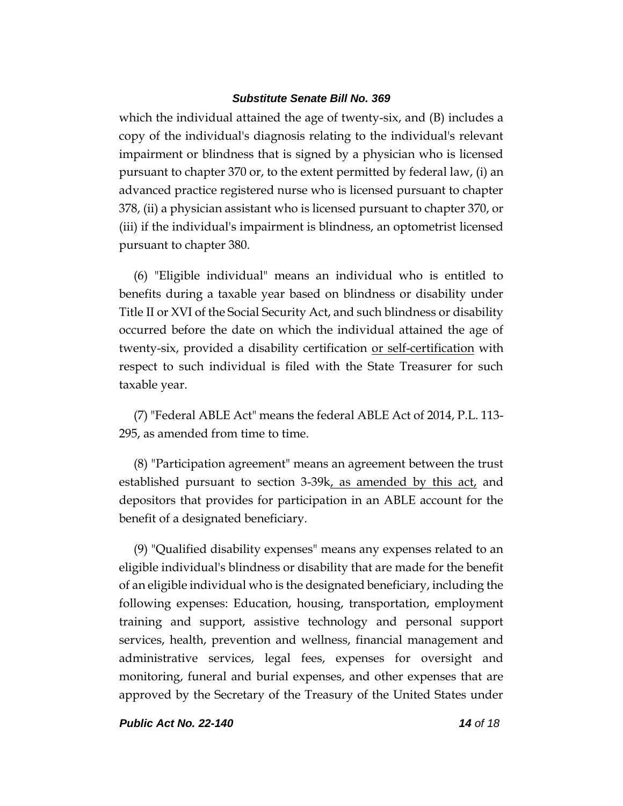which the individual attained the age of twenty-six, and (B) includes a copy of the individual's diagnosis relating to the individual's relevant impairment or blindness that is signed by a physician who is licensed pursuant to chapter 370 or, to the extent permitted by federal law, (i) an advanced practice registered nurse who is licensed pursuant to chapter 378, (ii) a physician assistant who is licensed pursuant to chapter 370, or (iii) if the individual's impairment is blindness, an optometrist licensed pursuant to chapter 380.

(6) "Eligible individual" means an individual who is entitled to benefits during a taxable year based on blindness or disability under Title II or XVI of the Social Security Act, and such blindness or disability occurred before the date on which the individual attained the age of twenty-six, provided a disability certification or self-certification with respect to such individual is filed with the State Treasurer for such taxable year.

(7) "Federal ABLE Act" means the federal ABLE Act of 2014, P.L. 113- 295, as amended from time to time.

(8) "Participation agreement" means an agreement between the trust established pursuant to section 3-39k, as amended by this act, and depositors that provides for participation in an ABLE account for the benefit of a designated beneficiary.

(9) "Qualified disability expenses" means any expenses related to an eligible individual's blindness or disability that are made for the benefit of an eligible individual who is the designated beneficiary, including the following expenses: Education, housing, transportation, employment training and support, assistive technology and personal support services, health, prevention and wellness, financial management and administrative services, legal fees, expenses for oversight and monitoring, funeral and burial expenses, and other expenses that are approved by the Secretary of the Treasury of the United States under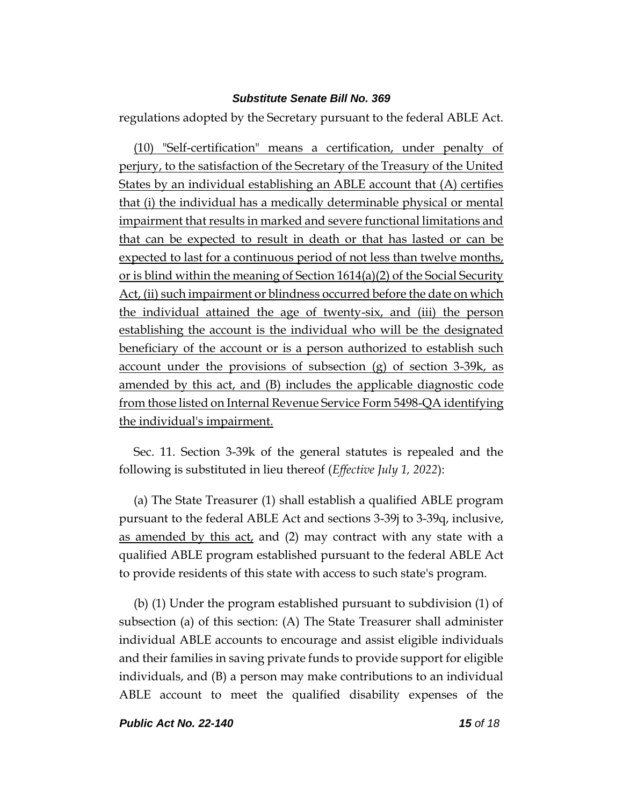regulations adopted by the Secretary pursuant to the federal ABLE Act.

(10) "Self-certification" means a certification, under penalty of perjury, to the satisfaction of the Secretary of the Treasury of the United States by an individual establishing an ABLE account that (A) certifies that (i) the individual has a medically determinable physical or mental impairment that results in marked and severe functional limitations and that can be expected to result in death or that has lasted or can be expected to last for a continuous period of not less than twelve months, or is blind within the meaning of Section 1614(a)(2) of the Social Security Act, (ii) such impairment or blindness occurred before the date on which the individual attained the age of twenty-six, and (iii) the person establishing the account is the individual who will be the designated beneficiary of the account or is a person authorized to establish such account under the provisions of subsection (g) of section 3-39k, as amended by this act, and (B) includes the applicable diagnostic code from those listed on Internal Revenue Service Form 5498-QA identifying the individual's impairment.

Sec. 11. Section 3-39k of the general statutes is repealed and the following is substituted in lieu thereof (*Effective July 1, 2022*):

(a) The State Treasurer (1) shall establish a qualified ABLE program pursuant to the federal ABLE Act and sections 3-39j to 3-39q, inclusive, as amended by this act, and (2) may contract with any state with a qualified ABLE program established pursuant to the federal ABLE Act to provide residents of this state with access to such state's program.

(b) (1) Under the program established pursuant to subdivision (1) of subsection (a) of this section: (A) The State Treasurer shall administer individual ABLE accounts to encourage and assist eligible individuals and their families in saving private funds to provide support for eligible individuals, and (B) a person may make contributions to an individual ABLE account to meet the qualified disability expenses of the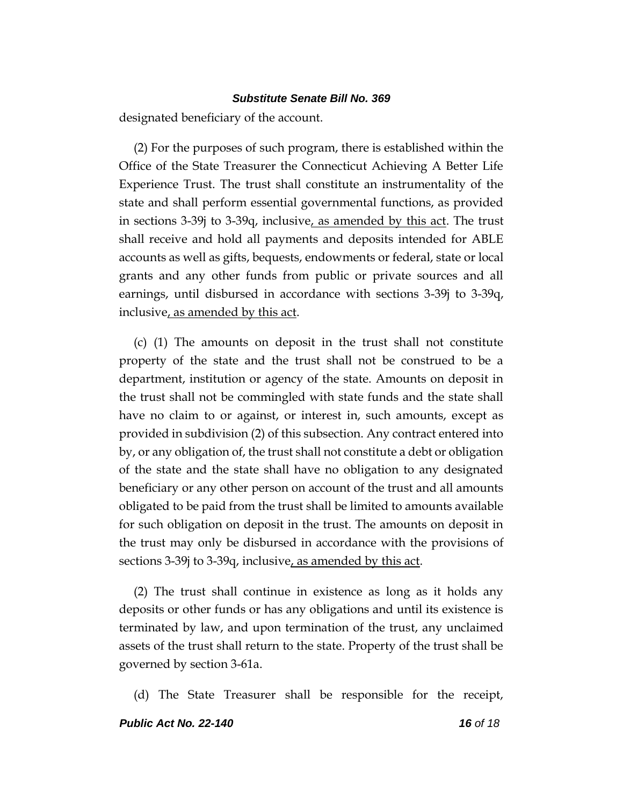designated beneficiary of the account.

(2) For the purposes of such program, there is established within the Office of the State Treasurer the Connecticut Achieving A Better Life Experience Trust. The trust shall constitute an instrumentality of the state and shall perform essential governmental functions, as provided in sections 3-39j to 3-39q, inclusive, as amended by this act. The trust shall receive and hold all payments and deposits intended for ABLE accounts as well as gifts, bequests, endowments or federal, state or local grants and any other funds from public or private sources and all earnings, until disbursed in accordance with sections 3-39j to 3-39q, inclusive, as amended by this act.

(c) (1) The amounts on deposit in the trust shall not constitute property of the state and the trust shall not be construed to be a department, institution or agency of the state. Amounts on deposit in the trust shall not be commingled with state funds and the state shall have no claim to or against, or interest in, such amounts, except as provided in subdivision (2) of this subsection. Any contract entered into by, or any obligation of, the trust shall not constitute a debt or obligation of the state and the state shall have no obligation to any designated beneficiary or any other person on account of the trust and all amounts obligated to be paid from the trust shall be limited to amounts available for such obligation on deposit in the trust. The amounts on deposit in the trust may only be disbursed in accordance with the provisions of sections 3-39j to 3-39q, inclusive, as amended by this act.

(2) The trust shall continue in existence as long as it holds any deposits or other funds or has any obligations and until its existence is terminated by law, and upon termination of the trust, any unclaimed assets of the trust shall return to the state. Property of the trust shall be governed by section 3-61a.

(d) The State Treasurer shall be responsible for the receipt,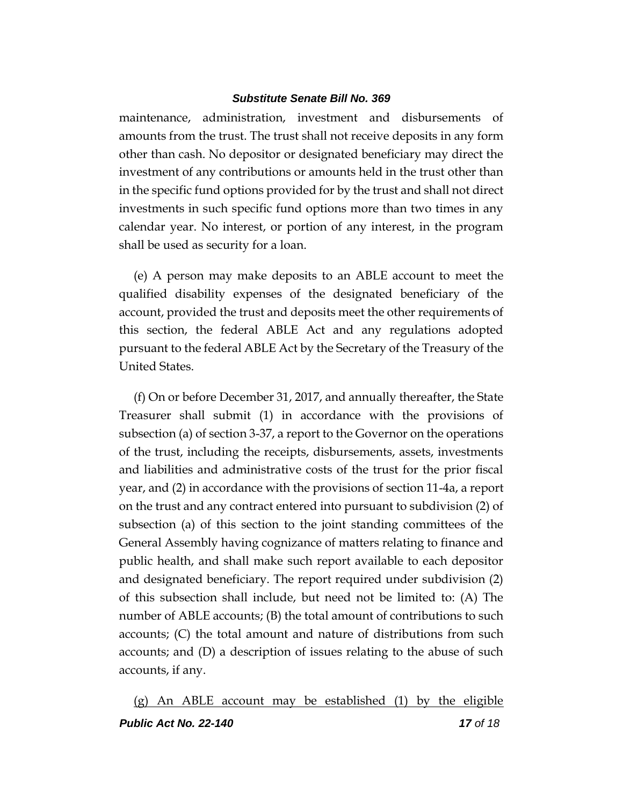maintenance, administration, investment and disbursements of amounts from the trust. The trust shall not receive deposits in any form other than cash. No depositor or designated beneficiary may direct the investment of any contributions or amounts held in the trust other than in the specific fund options provided for by the trust and shall not direct investments in such specific fund options more than two times in any calendar year. No interest, or portion of any interest, in the program shall be used as security for a loan.

(e) A person may make deposits to an ABLE account to meet the qualified disability expenses of the designated beneficiary of the account, provided the trust and deposits meet the other requirements of this section, the federal ABLE Act and any regulations adopted pursuant to the federal ABLE Act by the Secretary of the Treasury of the United States.

(f) On or before December 31, 2017, and annually thereafter, the State Treasurer shall submit (1) in accordance with the provisions of subsection (a) of section 3-37, a report to the Governor on the operations of the trust, including the receipts, disbursements, assets, investments and liabilities and administrative costs of the trust for the prior fiscal year, and (2) in accordance with the provisions of section 11-4a, a report on the trust and any contract entered into pursuant to subdivision (2) of subsection (a) of this section to the joint standing committees of the General Assembly having cognizance of matters relating to finance and public health, and shall make such report available to each depositor and designated beneficiary. The report required under subdivision (2) of this subsection shall include, but need not be limited to: (A) The number of ABLE accounts; (B) the total amount of contributions to such accounts; (C) the total amount and nature of distributions from such accounts; and (D) a description of issues relating to the abuse of such accounts, if any.

*Public Act No. 22-140 17 of 18* (g) An ABLE account may be established (1) by the eligible